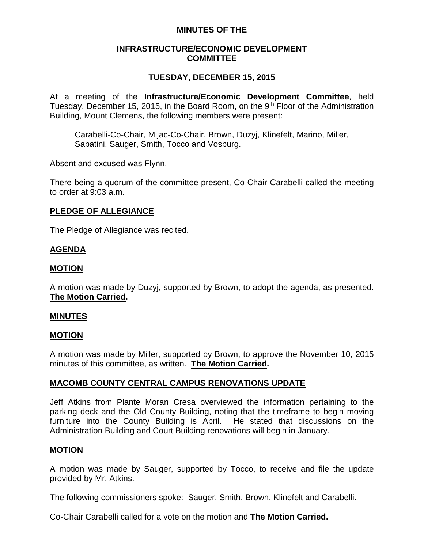# **MINUTES OF THE**

# **INFRASTRUCTURE/ECONOMIC DEVELOPMENT COMMITTEE**

# **TUESDAY, DECEMBER 15, 2015**

At a meeting of the **Infrastructure/Economic Development Committee**, held Tuesday, December 15, 2015, in the Board Room, on the 9<sup>th</sup> Floor of the Administration Building, Mount Clemens, the following members were present:

Carabelli-Co-Chair, Mijac-Co-Chair, Brown, Duzyj, Klinefelt, Marino, Miller, Sabatini, Sauger, Smith, Tocco and Vosburg.

Absent and excused was Flynn.

There being a quorum of the committee present, Co-Chair Carabelli called the meeting to order at 9:03 a.m.

### **PLEDGE OF ALLEGIANCE**

The Pledge of Allegiance was recited.

# **AGENDA**

### **MOTION**

A motion was made by Duzyj, supported by Brown, to adopt the agenda, as presented. **The Motion Carried.**

#### **MINUTES**

### **MOTION**

A motion was made by Miller, supported by Brown, to approve the November 10, 2015 minutes of this committee, as written. **The Motion Carried.**

### **MACOMB COUNTY CENTRAL CAMPUS RENOVATIONS UPDATE**

Jeff Atkins from Plante Moran Cresa overviewed the information pertaining to the parking deck and the Old County Building, noting that the timeframe to begin moving furniture into the County Building is April. He stated that discussions on the Administration Building and Court Building renovations will begin in January.

### **MOTION**

A motion was made by Sauger, supported by Tocco, to receive and file the update provided by Mr. Atkins.

The following commissioners spoke: Sauger, Smith, Brown, Klinefelt and Carabelli.

Co-Chair Carabelli called for a vote on the motion and **The Motion Carried.**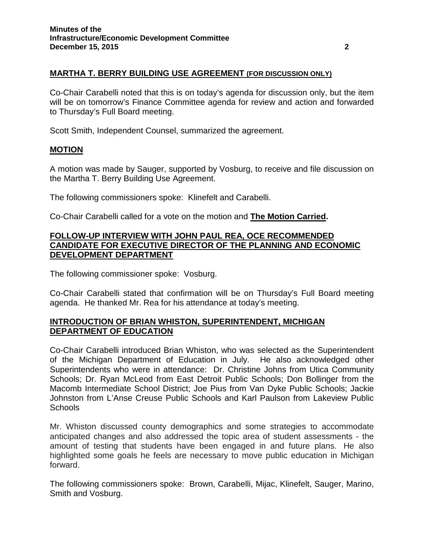# **MARTHA T. BERRY BUILDING USE AGREEMENT (FOR DISCUSSION ONLY)**

Co-Chair Carabelli noted that this is on today's agenda for discussion only, but the item will be on tomorrow's Finance Committee agenda for review and action and forwarded to Thursday's Full Board meeting.

Scott Smith, Independent Counsel, summarized the agreement.

#### **MOTION**

A motion was made by Sauger, supported by Vosburg, to receive and file discussion on the Martha T. Berry Building Use Agreement.

The following commissioners spoke: Klinefelt and Carabelli.

Co-Chair Carabelli called for a vote on the motion and **The Motion Carried.**

## **FOLLOW-UP INTERVIEW WITH JOHN PAUL REA, OCE RECOMMENDED CANDIDATE FOR EXECUTIVE DIRECTOR OF THE PLANNING AND ECONOMIC DEVELOPMENT DEPARTMENT**

The following commissioner spoke: Vosburg.

Co-Chair Carabelli stated that confirmation will be on Thursday's Full Board meeting agenda. He thanked Mr. Rea for his attendance at today's meeting.

# **INTRODUCTION OF BRIAN WHISTON, SUPERINTENDENT, MICHIGAN DEPARTMENT OF EDUCATION**

Co-Chair Carabelli introduced Brian Whiston, who was selected as the Superintendent of the Michigan Department of Education in July. He also acknowledged other Superintendents who were in attendance: Dr. Christine Johns from Utica Community Schools; Dr. Ryan McLeod from East Detroit Public Schools; Don Bollinger from the Macomb Intermediate School District; Joe Pius from Van Dyke Public Schools; Jackie Johnston from L'Anse Creuse Public Schools and Karl Paulson from Lakeview Public **Schools** 

Mr. Whiston discussed county demographics and some strategies to accommodate anticipated changes and also addressed the topic area of student assessments - the amount of testing that students have been engaged in and future plans. He also highlighted some goals he feels are necessary to move public education in Michigan forward.

The following commissioners spoke: Brown, Carabelli, Mijac, Klinefelt, Sauger, Marino, Smith and Vosburg.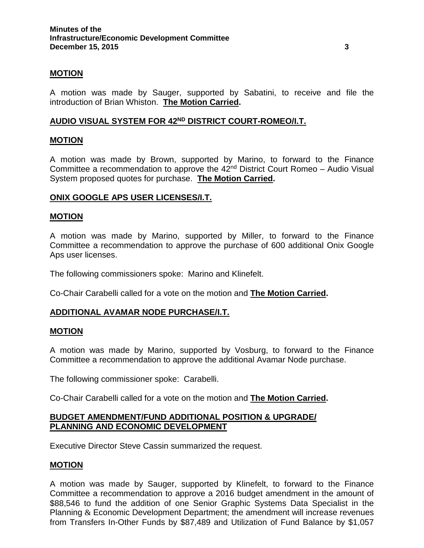## **MOTION**

A motion was made by Sauger, supported by Sabatini, to receive and file the introduction of Brian Whiston. **The Motion Carried.**

# **AUDIO VISUAL SYSTEM FOR 42ND DISTRICT COURT-ROMEO/I.T.**

### **MOTION**

A motion was made by Brown, supported by Marino, to forward to the Finance Committee a recommendation to approve the  $42<sup>nd</sup>$  District Court Romeo – Audio Visual System proposed quotes for purchase. **The Motion Carried.**

### **ONIX GOOGLE APS USER LICENSES/I.T.**

#### **MOTION**

A motion was made by Marino, supported by Miller, to forward to the Finance Committee a recommendation to approve the purchase of 600 additional Onix Google Aps user licenses.

The following commissioners spoke: Marino and Klinefelt.

Co-Chair Carabelli called for a vote on the motion and **The Motion Carried.**

### **ADDITIONAL AVAMAR NODE PURCHASE/I.T.**

#### **MOTION**

A motion was made by Marino, supported by Vosburg, to forward to the Finance Committee a recommendation to approve the additional Avamar Node purchase.

The following commissioner spoke: Carabelli.

Co-Chair Carabelli called for a vote on the motion and **The Motion Carried.**

# **BUDGET AMENDMENT/FUND ADDITIONAL POSITION & UPGRADE/ PLANNING AND ECONOMIC DEVELOPMENT**

Executive Director Steve Cassin summarized the request.

#### **MOTION**

A motion was made by Sauger, supported by Klinefelt, to forward to the Finance Committee a recommendation to approve a 2016 budget amendment in the amount of \$88,546 to fund the addition of one Senior Graphic Systems Data Specialist in the Planning & Economic Development Department; the amendment will increase revenues from Transfers In-Other Funds by \$87,489 and Utilization of Fund Balance by \$1,057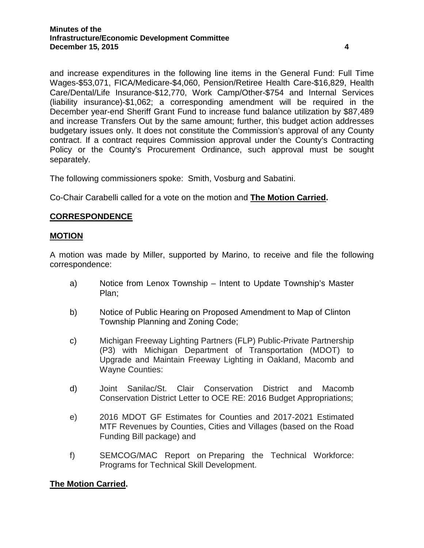and increase expenditures in the following line items in the General Fund: Full Time Wages-\$53,071, FICA/Medicare-\$4,060, Pension/Retiree Health Care-\$16,829, Health Care/Dental/Life Insurance-\$12,770, Work Camp/Other-\$754 and Internal Services (liability insurance)-\$1,062; a corresponding amendment will be required in the December year-end Sheriff Grant Fund to increase fund balance utilization by \$87,489 and increase Transfers Out by the same amount; further, this budget action addresses budgetary issues only. It does not constitute the Commission's approval of any County contract. If a contract requires Commission approval under the County's Contracting Policy or the County's Procurement Ordinance, such approval must be sought separately.

The following commissioners spoke: Smith, Vosburg and Sabatini.

Co-Chair Carabelli called for a vote on the motion and **The Motion Carried.**

# **CORRESPONDENCE**

### **MOTION**

A motion was made by Miller, supported by Marino, to receive and file the following correspondence:

- a) Notice from Lenox Township Intent to Update Township's Master Plan;
- b) Notice of Public Hearing on Proposed Amendment to Map of Clinton Township Planning and Zoning Code;
- c) Michigan Freeway Lighting Partners (FLP) Public-Private Partnership (P3) with Michigan Department of Transportation (MDOT) to Upgrade and Maintain Freeway Lighting in Oakland, Macomb and Wayne Counties:
- d) Joint Sanilac/St. Clair Conservation District and Macomb Conservation District Letter to OCE RE: 2016 Budget Appropriations;
- e) 2016 MDOT GF Estimates for Counties and 2017-2021 Estimated MTF Revenues by Counties, Cities and Villages (based on the Road Funding Bill package) and
- f) SEMCOG/MAC Report on Preparing the Technical Workforce: Programs for Technical Skill Development.

# **The Motion Carried.**